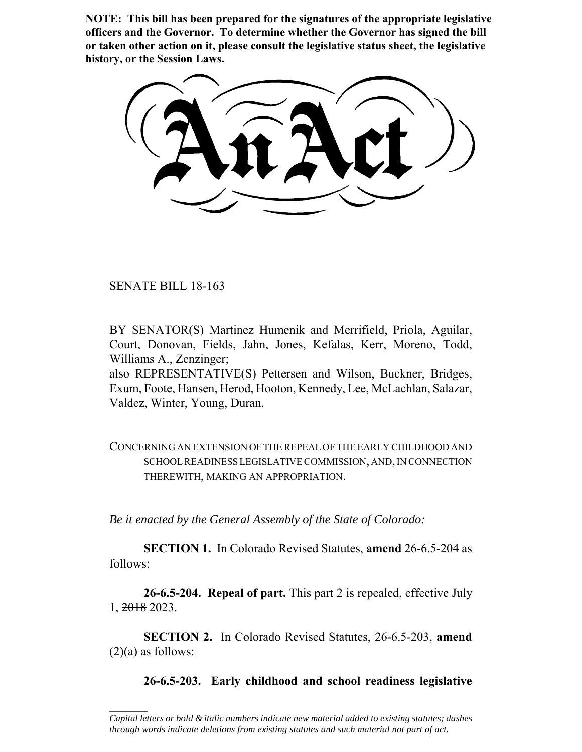**NOTE: This bill has been prepared for the signatures of the appropriate legislative officers and the Governor. To determine whether the Governor has signed the bill or taken other action on it, please consult the legislative status sheet, the legislative history, or the Session Laws.**

SENATE BILL 18-163

 $\frac{1}{2}$ 

BY SENATOR(S) Martinez Humenik and Merrifield, Priola, Aguilar, Court, Donovan, Fields, Jahn, Jones, Kefalas, Kerr, Moreno, Todd, Williams A., Zenzinger;

also REPRESENTATIVE(S) Pettersen and Wilson, Buckner, Bridges, Exum, Foote, Hansen, Herod, Hooton, Kennedy, Lee, McLachlan, Salazar, Valdez, Winter, Young, Duran.

CONCERNING AN EXTENSION OF THE REPEAL OF THE EARLY CHILDHOOD AND SCHOOL READINESS LEGISLATIVE COMMISSION, AND, IN CONNECTION THEREWITH, MAKING AN APPROPRIATION.

*Be it enacted by the General Assembly of the State of Colorado:*

**SECTION 1.** In Colorado Revised Statutes, **amend** 26-6.5-204 as follows:

**26-6.5-204. Repeal of part.** This part 2 is repealed, effective July 1, 2018 2023.

**SECTION 2.** In Colorado Revised Statutes, 26-6.5-203, **amend**  $(2)(a)$  as follows:

**26-6.5-203. Early childhood and school readiness legislative**

*Capital letters or bold & italic numbers indicate new material added to existing statutes; dashes through words indicate deletions from existing statutes and such material not part of act.*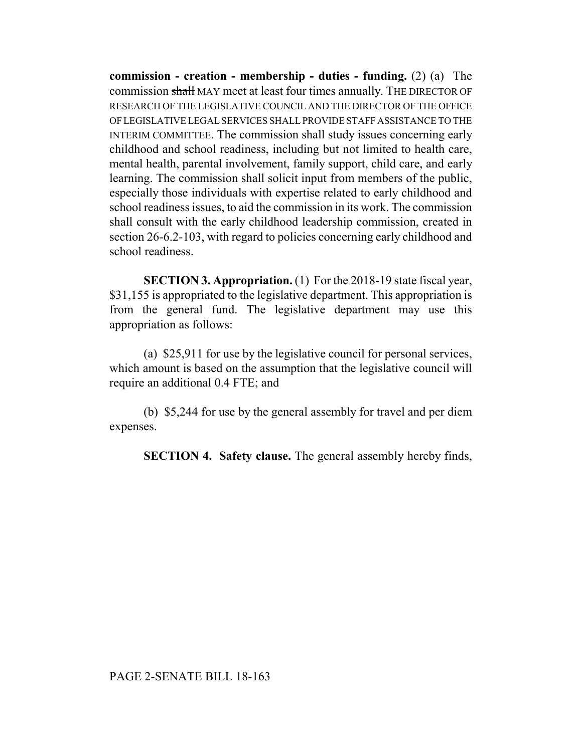**commission - creation - membership - duties - funding.** (2) (a) The commission shall MAY meet at least four times annually. THE DIRECTOR OF RESEARCH OF THE LEGISLATIVE COUNCIL AND THE DIRECTOR OF THE OFFICE OF LEGISLATIVE LEGAL SERVICES SHALL PROVIDE STAFF ASSISTANCE TO THE INTERIM COMMITTEE. The commission shall study issues concerning early childhood and school readiness, including but not limited to health care, mental health, parental involvement, family support, child care, and early learning. The commission shall solicit input from members of the public, especially those individuals with expertise related to early childhood and school readiness issues, to aid the commission in its work. The commission shall consult with the early childhood leadership commission, created in section 26-6.2-103, with regard to policies concerning early childhood and school readiness.

**SECTION 3. Appropriation.** (1) For the 2018-19 state fiscal year, \$31,155 is appropriated to the legislative department. This appropriation is from the general fund. The legislative department may use this appropriation as follows:

(a) \$25,911 for use by the legislative council for personal services, which amount is based on the assumption that the legislative council will require an additional 0.4 FTE; and

(b) \$5,244 for use by the general assembly for travel and per diem expenses.

**SECTION 4. Safety clause.** The general assembly hereby finds,